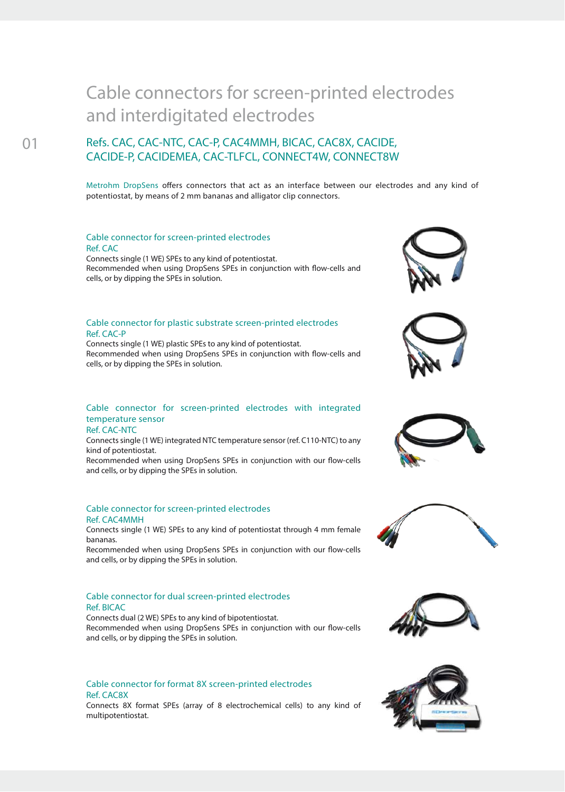# Cable connectors for screen-printed electrodes and interdigitated electrodes

## **Refs. CAC, CAC-NTC, CAC-P, CAC4MMH, BICAC, CAC8X, CACIDE, CACIDE-P, CACIDEMEA, CAC-TLFCL, CONNECT4W, CONNECT8W**

Metrohm DropSens offers connectors that act as an interface between our electrodes and any kind of potentiostat, by means of 2 mm bananas and alligator clip connectors.

### Cable connector for screen-printed electrodes Ref. CAC

Connects single (1 WE) SPEs to any kind of potentiostat. Recommended when using DropSens SPEs in conjunction with flow-cells and cells, or by dipping the SPEs in solution.

### Cable connector for plastic substrate screen-printed electrodes Ref. CAC-P

Connects single (1 WE) plastic SPEs to any kind of potentiostat. Recommended when using DropSens SPEs in conjunction with flow-cells and cells, or by dipping the SPEs in solution.

### Cable connector for screen-printed electrodes with integrated temperature sensor

Ref. CAC-NTC

Connects single (1 WE) integrated NTC temperature sensor (ref. C110-NTC) to any kind of potentiostat.

Recommended when using DropSens SPEs in conjunction with our flow-cells and cells, or by dipping the SPEs in solution.

### Cable connector for screen-printed electrodes Ref. CAC4MMH

Connects single (1 WE) SPEs to any kind of potentiostat through 4 mm female bananas.

Recommended when using DropSens SPEs in conjunction with our flow-cells and cells, or by dipping the SPEs in solution.

### Cable connector for dual screen-printed electrodes Ref. BICAC

Connects dual (2 WE) SPEs to any kind of bipotentiostat. Recommended when using DropSens SPEs in conjunction with our flow-cells and cells, or by dipping the SPEs in solution.

### Cable connector for format 8X screen-printed electrodes Ref. CAC8X

Connects 8X format SPEs (array of 8 electrochemical cells) to any kind of multipotentiostat.